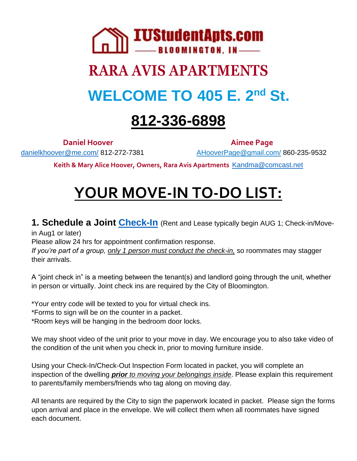

# **RARA AVIS APARTMENTS WELCOME TO 405 E. 2nd St.**

# **812-336-6898**

danielkhoover@me.com/812-272-7381 AHooverPage@gmail.com/860-235-9532

**Daniel Hoover Aimee Page** 

**Keith & Mary Alice Hoover, Owners, Rara Avis Apartments** Kandma@comcast.net

# **YOUR MOVE-IN TO-DO LIST:**

**1. Schedule a Joint Check-In** (Rent and Lease typically begin AUG 1; Check-in/Movein Aug1 or later)

Please allow 24 hrs for appointment confirmation response.

*If you're part of a group, only 1 person must conduct the check-in,* so roommates may stagger their arrivals.

A "joint check in" is a meeting between the tenant(s) and landlord going through the unit, whether in person or virtually. Joint check ins are required by the City of Bloomington.

\*Your entry code will be texted to you for virtual check ins.

\*Forms to sign will be on the counter in a packet.

\*Room keys will be hanging in the bedroom door locks.

We may shoot video of the unit prior to your move in day. We encourage you to also take video of the condition of the unit when you check in, prior to moving furniture inside.

Using your Check-In/Check-Out Inspection Form located in packet, you will complete an inspection of the dwelling *prior to moving your belongings inside*. Please explain this requirement to parents/family members/friends who tag along on moving day.

All tenants are required by the City to sign the paperwork located in packet. Please sign the forms upon arrival and place in the envelope. We will collect them when all roommates have signed each document.